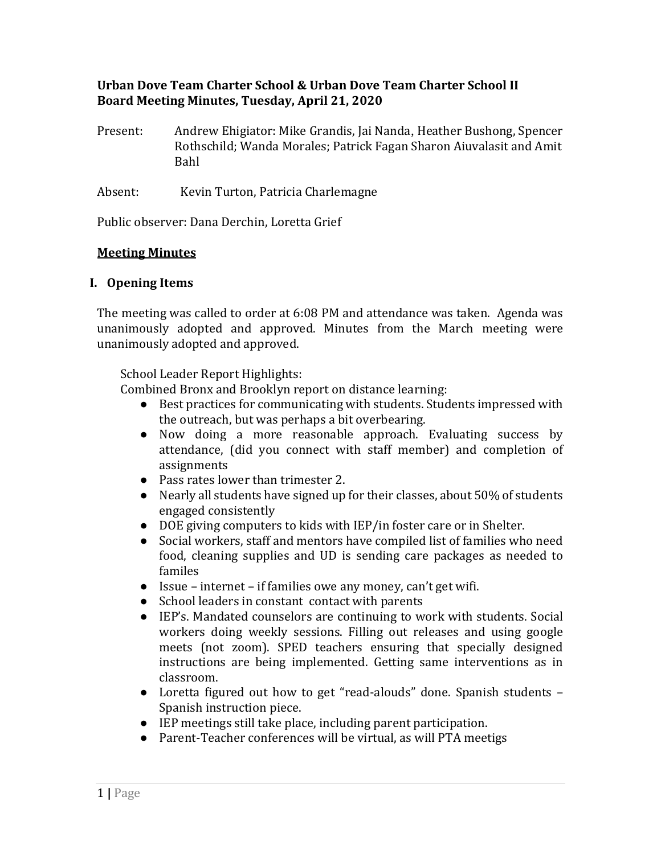## **Urban Dove Team Charter School & Urban Dove Team Charter School II Board Meeting Minutes, Tuesday, April 21, 2020**

- Present: Andrew Ehigiator: Mike Grandis, Jai Nanda, Heather Bushong, Spencer Rothschild; Wanda Morales; Patrick Fagan Sharon Aiuvalasit and Amit Bahl
- Absent: Kevin Turton, Patricia Charlemagne

Public observer: Dana Derchin, Loretta Grief

#### **Meeting Minutes**

### **I. Opening Items**

The meeting was called to order at 6:08 PM and attendance was taken. Agenda was unanimously adopted and approved. Minutes from the March meeting were unanimously adopted and approved.

School Leader Report Highlights:

Combined Bronx and Brooklyn report on distance learning:

- Best practices for communicating with students. Students impressed with the outreach, but was perhaps a bit overbearing.
- Now doing a more reasonable approach. Evaluating success by attendance, (did you connect with staff member) and completion of assignments
- Pass rates lower than trimester 2.
- Nearly all students have signed up for their classes, about 50% of students engaged consistently
- DOE giving computers to kids with IEP/in foster care or in Shelter.
- Social workers, staff and mentors have compiled list of families who need food, cleaning supplies and UD is sending care packages as needed to familes
- Issue internet if families owe any money, can't get wifi.
- School leaders in constant contact with parents
- IEP's. Mandated counselors are continuing to work with students. Social workers doing weekly sessions. Filling out releases and using google meets (not zoom). SPED teachers ensuring that specially designed instructions are being implemented. Getting same interventions as in classroom.
- Loretta figured out how to get "read-alouds" done. Spanish students Spanish instruction piece.
- IEP meetings still take place, including parent participation.
- Parent-Teacher conferences will be virtual, as will PTA meetigs